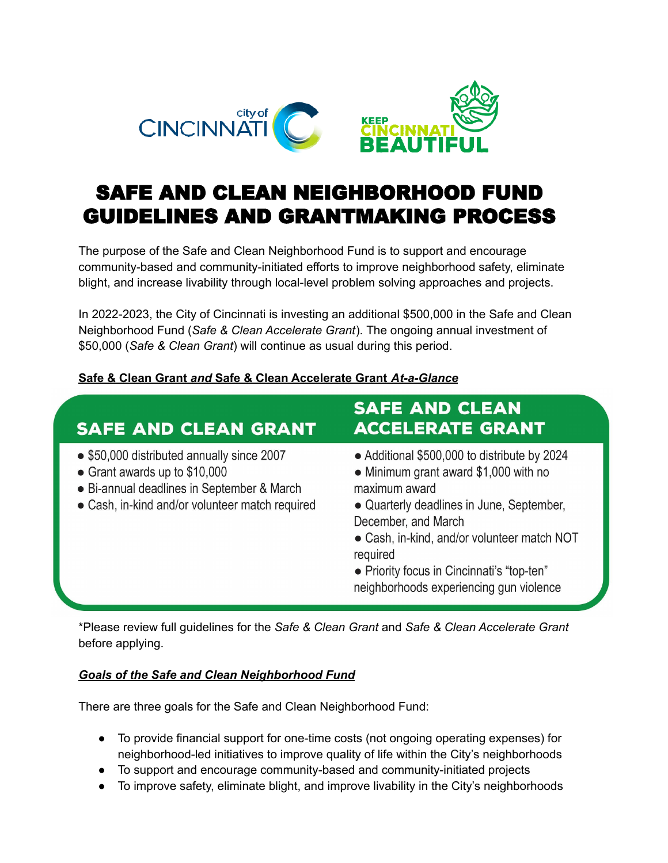

# SAFE AND CLEAN NEIGHBORHOOD FUND GUIDELINES AND GRANTMAKING PROCESS

The purpose of the Safe and Clean Neighborhood Fund is to support and encourage community-based and community-initiated efforts to improve neighborhood safety, eliminate blight, and increase livability through local-level problem solving approaches and projects.

In 2022-2023, the City of Cincinnati is investing an additional \$500,000 in the Safe and Clean Neighborhood Fund (*Safe & Clean Accelerate Grant*). The ongoing annual investment of \$50,000 (*Safe & Clean Grant*) will continue as usual during this period.

#### **Safe & Clean Grant** *and* **Safe & Clean Accelerate Grant** *At-a-Glance*

## **SAFE AND CLEAN GRANT**

- \$50,000 distributed annually since 2007
- Grant awards up to  $$10,000$
- Bi-annual deadlines in September & March
- Cash, in-kind and/or volunteer match required

### **SAFE AND CLEAN ACCELERATE GRANT**

- Additional \$500,000 to distribute by 2024
- Minimum grant award \$1,000 with no maximum award
- Quarterly deadlines in June, September, December, and March
- Cash, in-kind, and/or volunteer match NOT required
- Priority focus in Cincinnati's "top-ten" neighborhoods experiencing gun violence

\*Please review full guidelines for the *Safe & Clean Grant* and *Safe & Clean Accelerate Grant* before applying.

#### *Goals of the Safe and Clean Neighborhood Fund*

There are three goals for the Safe and Clean Neighborhood Fund:

- To provide financial support for one-time costs (not ongoing operating expenses) for neighborhood-led initiatives to improve quality of life within the City's neighborhoods
- To support and encourage community-based and community-initiated projects
- To improve safety, eliminate blight, and improve livability in the City's neighborhoods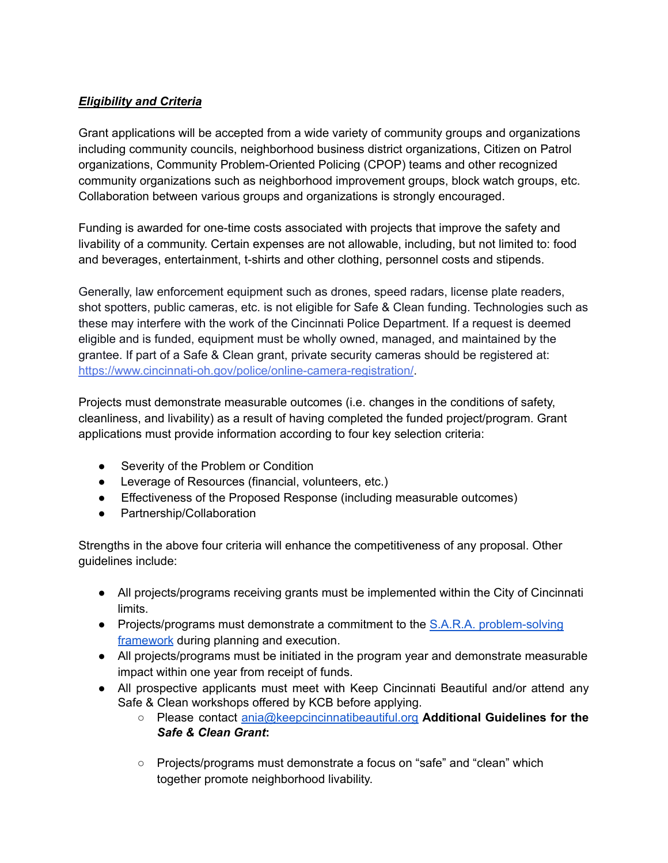#### *Eligibility and Criteria*

Grant applications will be accepted from a wide variety of community groups and organizations including community councils, neighborhood business district organizations, Citizen on Patrol organizations, Community Problem-Oriented Policing (CPOP) teams and other recognized community organizations such as neighborhood improvement groups, block watch groups, etc. Collaboration between various groups and organizations is strongly encouraged.

Funding is awarded for one-time costs associated with projects that improve the safety and livability of a community. Certain expenses are not allowable, including, but not limited to: food and beverages, entertainment, t-shirts and other clothing, personnel costs and stipends.

Generally, law enforcement equipment such as drones, speed radars, license plate readers, shot spotters, public cameras, etc. is not eligible for Safe & Clean funding. Technologies such as these may interfere with the work of the Cincinnati Police Department. If a request is deemed eligible and is funded, equipment must be wholly owned, managed, and maintained by the grantee. If part of a Safe & Clean grant, private security cameras should be registered at: <https://www.cincinnati-oh.gov/police/online-camera-registration/>.

Projects must demonstrate measurable outcomes (i.e. changes in the conditions of safety, cleanliness, and livability) as a result of having completed the funded project/program. Grant applications must provide information according to four key selection criteria:

- Severity of the Problem or Condition
- Leverage of Resources (financial, volunteers, etc.)
- Effectiveness of the Proposed Response (including measurable outcomes)
- Partnership/Collaboration

Strengths in the above four criteria will enhance the competitiveness of any proposal. Other guidelines include:

- All projects/programs receiving grants must be implemented within the City of Cincinnati limits.
- Projects/programs must demonstrate a commitment to the S.A.R.A. [problem-solving](https://popcenter.asu.edu/content/sara-model-0) [framework](https://popcenter.asu.edu/content/sara-model-0) during planning and execution.
- All projects/programs must be initiated in the program year and demonstrate measurable impact within one year from receipt of funds.
- All prospective applicants must meet with Keep Cincinnati Beautiful and/or attend any Safe & Clean workshops offered by KCB before applying.
	- Please contact [ania@keepcincinnatibeautiful.org](mailto:ania@keepcincinnatibeautiful.org) **Additional Guidelines for the** *Safe & Clean Grant***:**
	- Projects/programs must demonstrate a focus on "safe" and "clean" which together promote neighborhood livability.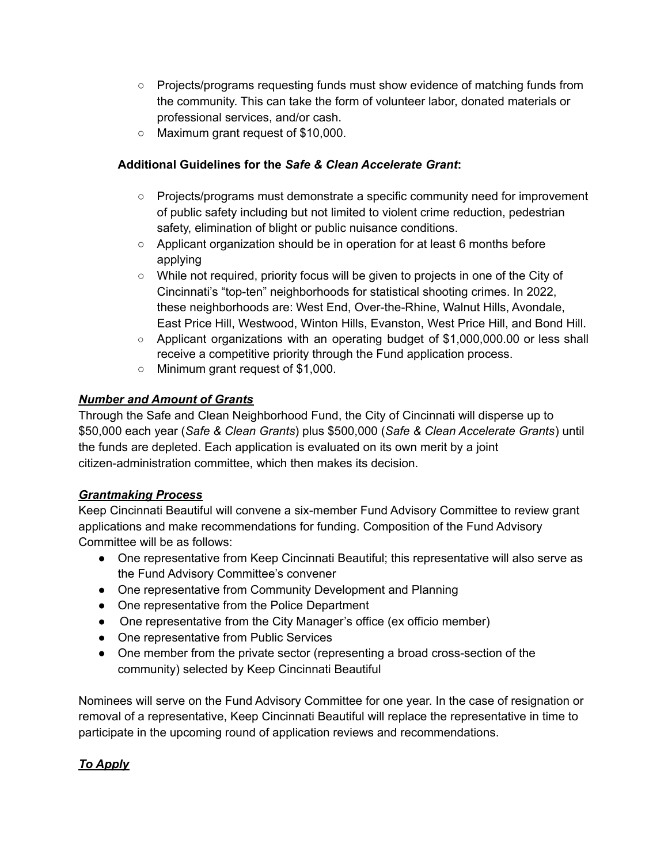- Projects/programs requesting funds must show evidence of matching funds from the community. This can take the form of volunteer labor, donated materials or professional services, and/or cash.
- Maximum grant request of \$10,000.

#### **Additional Guidelines for the** *Safe & Clean Accelerate Grant***:**

- Projects/programs must demonstrate a specific community need for improvement of public safety including but not limited to violent crime reduction, pedestrian safety, elimination of blight or public nuisance conditions.
- Applicant organization should be in operation for at least 6 months before applying
- While not required, priority focus will be given to projects in one of the City of Cincinnati's "top-ten" neighborhoods for statistical shooting crimes. In 2022, these neighborhoods are: West End, Over-the-Rhine, Walnut Hills, Avondale, East Price Hill, Westwood, Winton Hills, Evanston, West Price Hill, and Bond Hill.
- Applicant organizations with an operating budget of \$1,000,000.00 or less shall receive a competitive priority through the Fund application process.
- Minimum grant request of \$1,000.

#### *Number and Amount of Grants*

Through the Safe and Clean Neighborhood Fund, the City of Cincinnati will disperse up to \$50,000 each year (*Safe & Clean Grants*) plus \$500,000 (*Safe & Clean Accelerate Grants*) until the funds are depleted. Each application is evaluated on its own merit by a joint citizen-administration committee, which then makes its decision.

#### *Grantmaking Process*

Keep Cincinnati Beautiful will convene a six-member Fund Advisory Committee to review grant applications and make recommendations for funding. Composition of the Fund Advisory Committee will be as follows:

- One representative from Keep Cincinnati Beautiful; this representative will also serve as the Fund Advisory Committee's convener
- One representative from Community Development and Planning
- One representative from the Police Department
- One representative from the City Manager's office (ex officio member)
- One representative from Public Services
- One member from the private sector (representing a broad cross-section of the community) selected by Keep Cincinnati Beautiful

Nominees will serve on the Fund Advisory Committee for one year. In the case of resignation or removal of a representative, Keep Cincinnati Beautiful will replace the representative in time to participate in the upcoming round of application reviews and recommendations.

#### *To Apply*